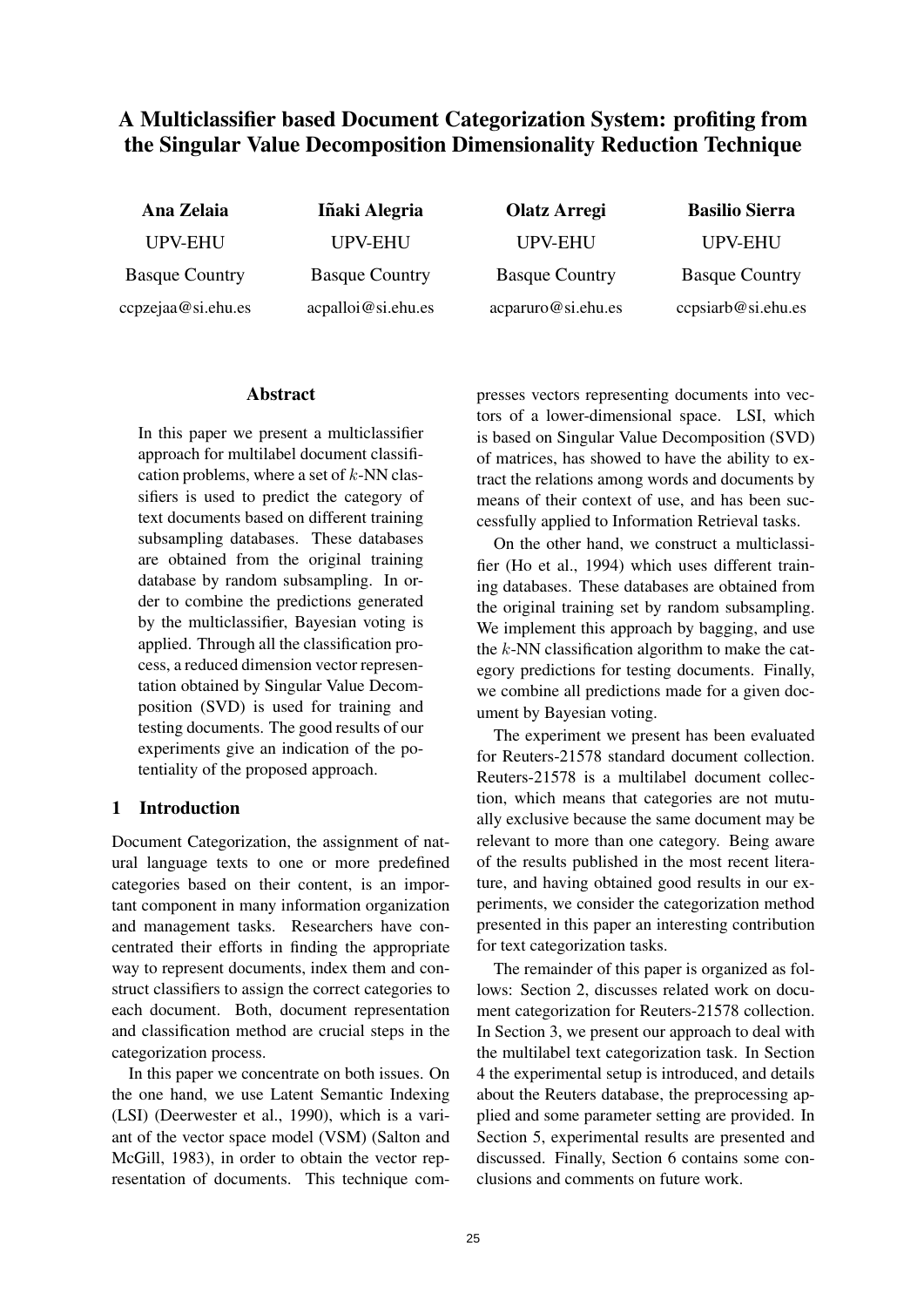# A Multiclassifier based Document Categorization System: profiting from the Singular Value Decomposition Dimensionality Reduction Technique

| Ana Zelaia            | Iñaki Alegria         | <b>Olatz Arregi</b>   | <b>Basilio Sierra</b> |
|-----------------------|-----------------------|-----------------------|-----------------------|
| <b>UPV-EHU</b>        | <b>UPV-EHU</b>        | <b>UPV-EHU</b>        | <b>UPV-EHU</b>        |
| <b>Basque Country</b> | <b>Basque Country</b> | <b>Basque Country</b> | <b>Basque Country</b> |
| ccpzejaa@si.ehu.es    | acpalloi@si.ehu.es    | acparuro@si.ehu.es    | ccpsiarb@si.ehu.es    |

## Abstract

In this paper we present a multiclassifier approach for multilabel document classification problems, where a set of  $k$ -NN classifiers is used to predict the category of text documents based on different training subsampling databases. These databases are obtained from the original training database by random subsampling. In order to combine the predictions generated by the multiclassifier, Bayesian voting is applied. Through all the classification process, a reduced dimension vector representation obtained by Singular Value Decomposition (SVD) is used for training and testing documents. The good results of our experiments give an indication of the potentiality of the proposed approach.

## 1 Introduction

Document Categorization, the assignment of natural language texts to one or more predefined categories based on their content, is an important component in many information organization and management tasks. Researchers have concentrated their efforts in finding the appropriate way to represent documents, index them and construct classifiers to assign the correct categories to each document. Both, document representation and classification method are crucial steps in the categorization process.

In this paper we concentrate on both issues. On the one hand, we use Latent Semantic Indexing (LSI) (Deerwester et al., 1990), which is a variant of the vector space model (VSM) (Salton and McGill, 1983), in order to obtain the vector representation of documents. This technique compresses vectors representing documents into vectors of a lower-dimensional space. LSI, which is based on Singular Value Decomposition (SVD) of matrices, has showed to have the ability to extract the relations among words and documents by means of their context of use, and has been successfully applied to Information Retrieval tasks.

On the other hand, we construct a multiclassifier (Ho et al., 1994) which uses different training databases. These databases are obtained from the original training set by random subsampling. We implement this approach by bagging, and use the  $k$ -NN classification algorithm to make the category predictions for testing documents. Finally, we combine all predictions made for a given document by Bayesian voting.

The experiment we present has been evaluated for Reuters-21578 standard document collection. Reuters-21578 is a multilabel document collection, which means that categories are not mutually exclusive because the same document may be relevant to more than one category. Being aware of the results published in the most recent literature, and having obtained good results in our experiments, we consider the categorization method presented in this paper an interesting contribution for text categorization tasks.

The remainder of this paper is organized as follows: Section 2, discusses related work on document categorization for Reuters-21578 collection. In Section 3, we present our approach to deal with the multilabel text categorization task. In Section 4 the experimental setup is introduced, and details about the Reuters database, the preprocessing applied and some parameter setting are provided. In Section 5, experimental results are presented and discussed. Finally, Section 6 contains some conclusions and comments on future work.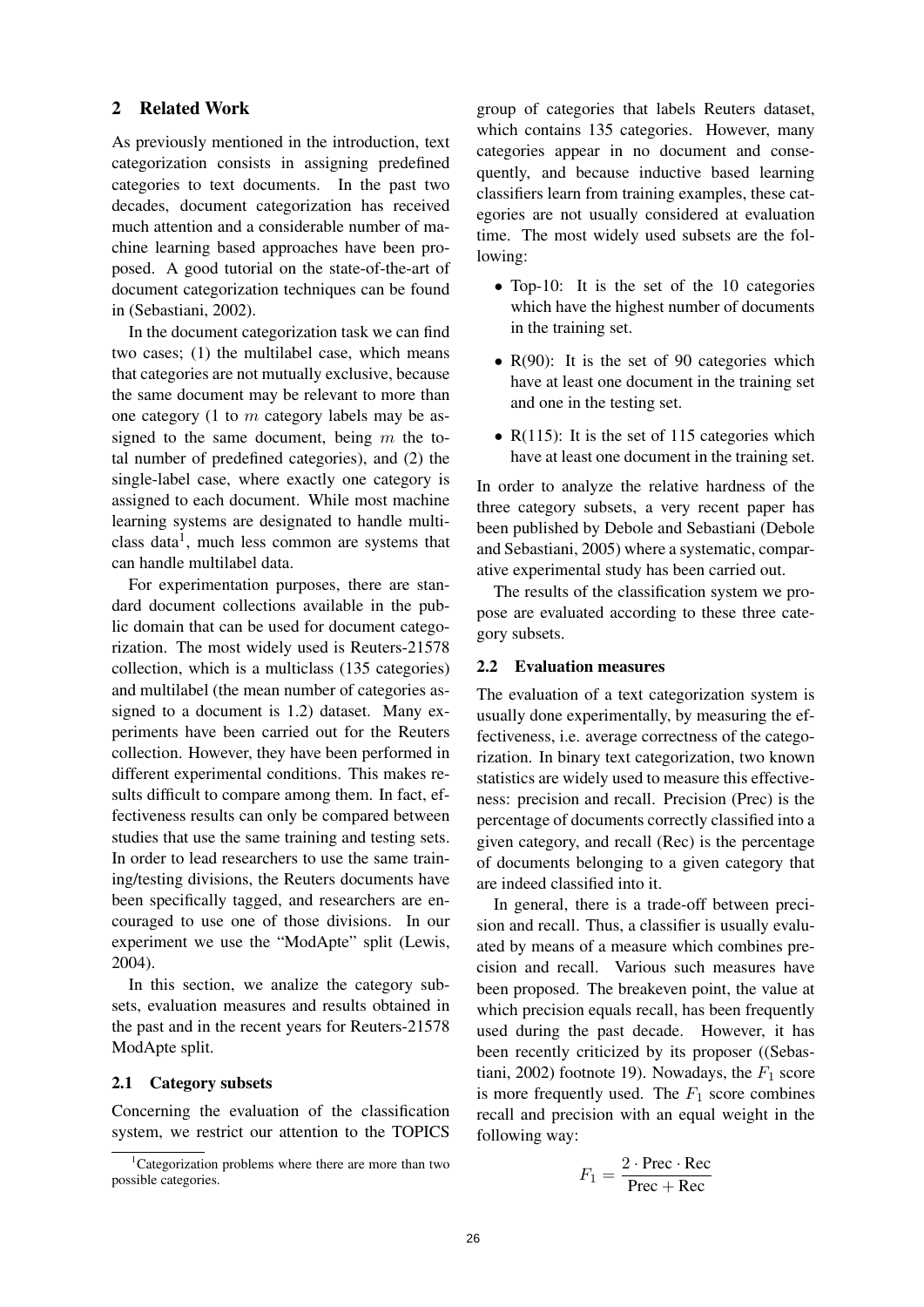## 2 Related Work

As previously mentioned in the introduction, text categorization consists in assigning predefined categories to text documents. In the past two decades, document categorization has received much attention and a considerable number of machine learning based approaches have been proposed. A good tutorial on the state-of-the-art of document categorization techniques can be found in (Sebastiani, 2002).

In the document categorization task we can find two cases; (1) the multilabel case, which means that categories are not mutually exclusive, because the same document may be relevant to more than one category (1 to  $m$  category labels may be assigned to the same document, being  $m$  the total number of predefined categories), and (2) the single-label case, where exactly one category is assigned to each document. While most machine learning systems are designated to handle multiclass data<sup>1</sup>, much less common are systems that can handle multilabel data.

For experimentation purposes, there are standard document collections available in the public domain that can be used for document categorization. The most widely used is Reuters-21578 collection, which is a multiclass (135 categories) and multilabel (the mean number of categories assigned to a document is 1.2) dataset. Many experiments have been carried out for the Reuters collection. However, they have been performed in different experimental conditions. This makes results difficult to compare among them. In fact, effectiveness results can only be compared between studies that use the same training and testing sets. In order to lead researchers to use the same training/testing divisions, the Reuters documents have been specifically tagged, and researchers are encouraged to use one of those divisions. In our experiment we use the "ModApte" split (Lewis, 2004).

In this section, we analize the category subsets, evaluation measures and results obtained in the past and in the recent years for Reuters-21578 ModApte split.

#### 2.1 Category subsets

Concerning the evaluation of the classification system, we restrict our attention to the TOPICS group of categories that labels Reuters dataset, which contains 135 categories. However, many categories appear in no document and consequently, and because inductive based learning classifiers learn from training examples, these categories are not usually considered at evaluation time. The most widely used subsets are the following:

- Top-10: It is the set of the 10 categories which have the highest number of documents in the training set.
- R(90): It is the set of 90 categories which have at least one document in the training set and one in the testing set.
- $R(115)$ : It is the set of 115 categories which have at least one document in the training set.

In order to analyze the relative hardness of the three category subsets, a very recent paper has been published by Debole and Sebastiani (Debole and Sebastiani, 2005) where a systematic, comparative experimental study has been carried out.

The results of the classification system we propose are evaluated according to these three category subsets.

#### 2.2 Evaluation measures

The evaluation of a text categorization system is usually done experimentally, by measuring the effectiveness, i.e. average correctness of the categorization. In binary text categorization, two known statistics are widely used to measure this effectiveness: precision and recall. Precision (Prec) is the percentage of documents correctly classified into a given category, and recall (Rec) is the percentage of documents belonging to a given category that are indeed classified into it.

In general, there is a trade-off between precision and recall. Thus, a classifier is usually evaluated by means of a measure which combines precision and recall. Various such measures have been proposed. The breakeven point, the value at which precision equals recall, has been frequently used during the past decade. However, it has been recently criticized by its proposer ((Sebastiani, 2002) footnote 19). Nowadays, the  $F_1$  score is more frequently used. The  $F_1$  score combines recall and precision with an equal weight in the following way:

$$
F_1 = \frac{2 \cdot \text{Prec} \cdot \text{Rec}}{\text{Prec} + \text{Rec}}
$$

<sup>&</sup>lt;sup>1</sup>Categorization problems where there are more than two possible categories.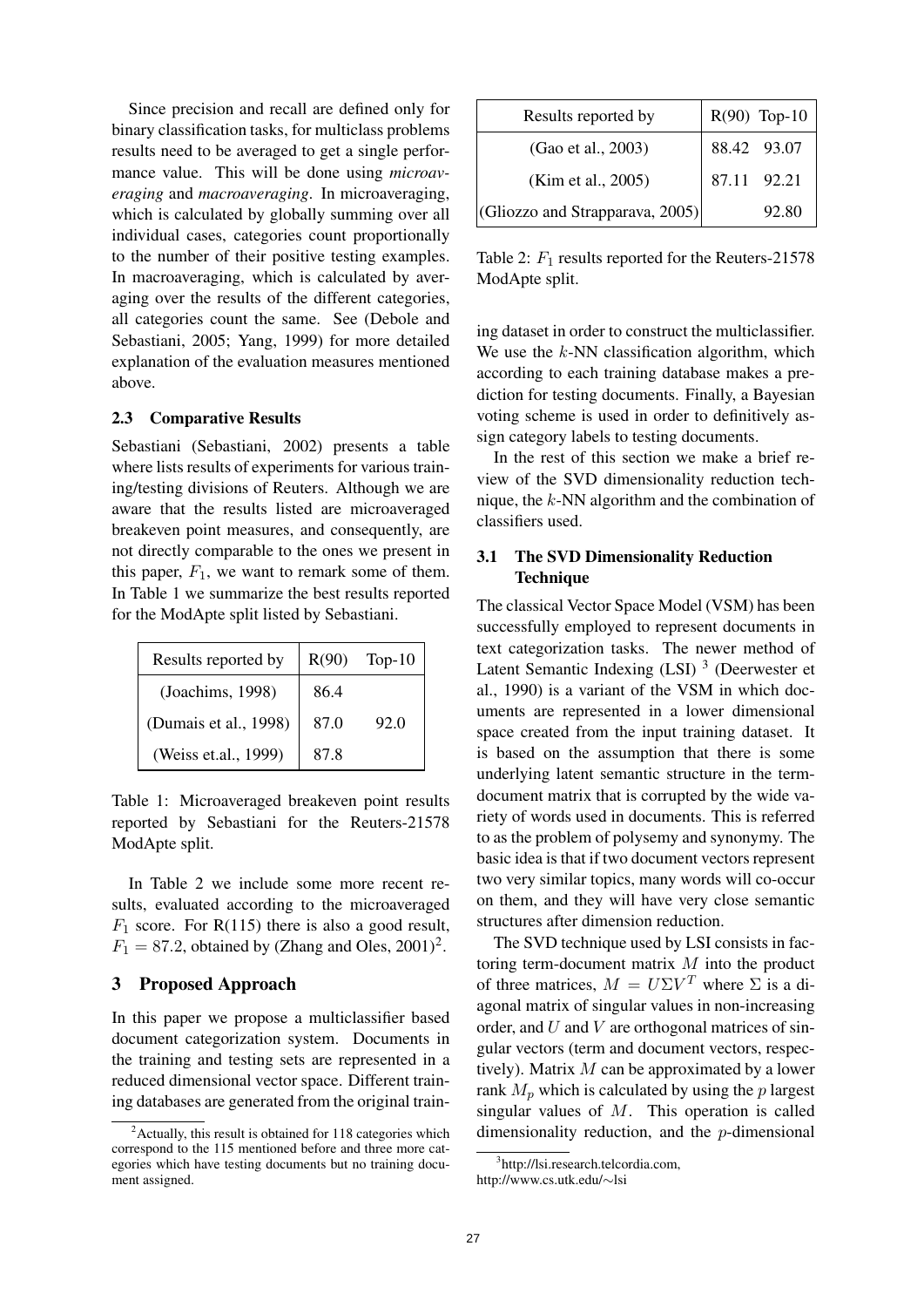Since precision and recall are defined only for binary classification tasks, for multiclass problems results need to be averaged to get a single performance value. This will be done using *microav*eraging and macroaveraging. In microaveraging, which is calculated by globally summing over all individual cases, categories count proportionally to the number of their positive testing examples. In macroaveraging, which is calculated by averaging over the results of the different categories, all categories count the same. See (Debole and Sebastiani, 2005; Yang, 1999) for more detailed explanation of the evaluation measures mentioned above.

## 2.3 Comparative Results

Sebastiani (Sebastiani, 2002) presents a table where lists results of experiments for various training/testing divisions of Reuters. Although we are aware that the results listed are microaveraged breakeven point measures, and consequently, are not directly comparable to the ones we present in this paper,  $F_1$ , we want to remark some of them. In Table 1 we summarize the best results reported for the ModApte split listed by Sebastiani.

| Results reported by   | R(90) | Top- $10$ |
|-----------------------|-------|-----------|
| (Joachims, 1998)      | 86.4  |           |
| (Dumais et al., 1998) | 87.0  | 92.0      |
| (Weiss et.al., 1999)  | 87.8  |           |

Table 1: Microaveraged breakeven point results reported by Sebastiani for the Reuters-21578 ModApte split.

In Table 2 we include some more recent results, evaluated according to the microaveraged  $F_1$  score. For R(115) there is also a good result,  $F_1 = 87.2$ , obtained by (Zhang and Oles, 2001)<sup>2</sup>.

## 3 Proposed Approach

In this paper we propose a multiclassifier based document categorization system. Documents in the training and testing sets are represented in a reduced dimensional vector space. Different training databases are generated from the original train-

| Results reported by             |             | $R(90)$ Top-10 |
|---------------------------------|-------------|----------------|
| (Gao et al., 2003)              |             | 88.42 93.07    |
| (Kim et al., 2005)              | 87.11 92.21 |                |
| (Gliozzo and Strapparava, 2005) |             | 92.80          |

Table 2:  $F_1$  results reported for the Reuters-21578 ModApte split.

ing dataset in order to construct the multiclassifier. We use the  $k$ -NN classification algorithm, which according to each training database makes a prediction for testing documents. Finally, a Bayesian voting scheme is used in order to definitively assign category labels to testing documents.

In the rest of this section we make a brief review of the SVD dimensionality reduction technique, the k-NN algorithm and the combination of classifiers used.

## 3.1 The SVD Dimensionality Reduction **Technique**

The classical Vector Space Model (VSM) has been successfully employed to represent documents in text categorization tasks. The newer method of Latent Semantic Indexing (LSI)<sup>3</sup> (Deerwester et al., 1990) is a variant of the VSM in which documents are represented in a lower dimensional space created from the input training dataset. It is based on the assumption that there is some underlying latent semantic structure in the termdocument matrix that is corrupted by the wide variety of words used in documents. This is referred to as the problem of polysemy and synonymy. The basic idea is that if two document vectors represent two very similar topics, many words will co-occur on them, and they will have very close semantic structures after dimension reduction.

The SVD technique used by LSI consists in factoring term-document matrix M into the product of three matrices,  $M = U\Sigma V^T$  where  $\Sigma$  is a diagonal matrix of singular values in non-increasing order, and  $U$  and  $V$  are orthogonal matrices of singular vectors (term and document vectors, respectively). Matrix  $M$  can be approximated by a lower rank  $M_p$  which is calculated by using the p largest singular values of  $M$ . This operation is called dimensionality reduction, and the p-dimensional

 $2$ Actually, this result is obtained for 118 categories which correspond to the 115 mentioned before and three more categories which have testing documents but no training document assigned.

<sup>3</sup> http://lsi.research.telcordia.com,

http://www.cs.utk.edu/∼lsi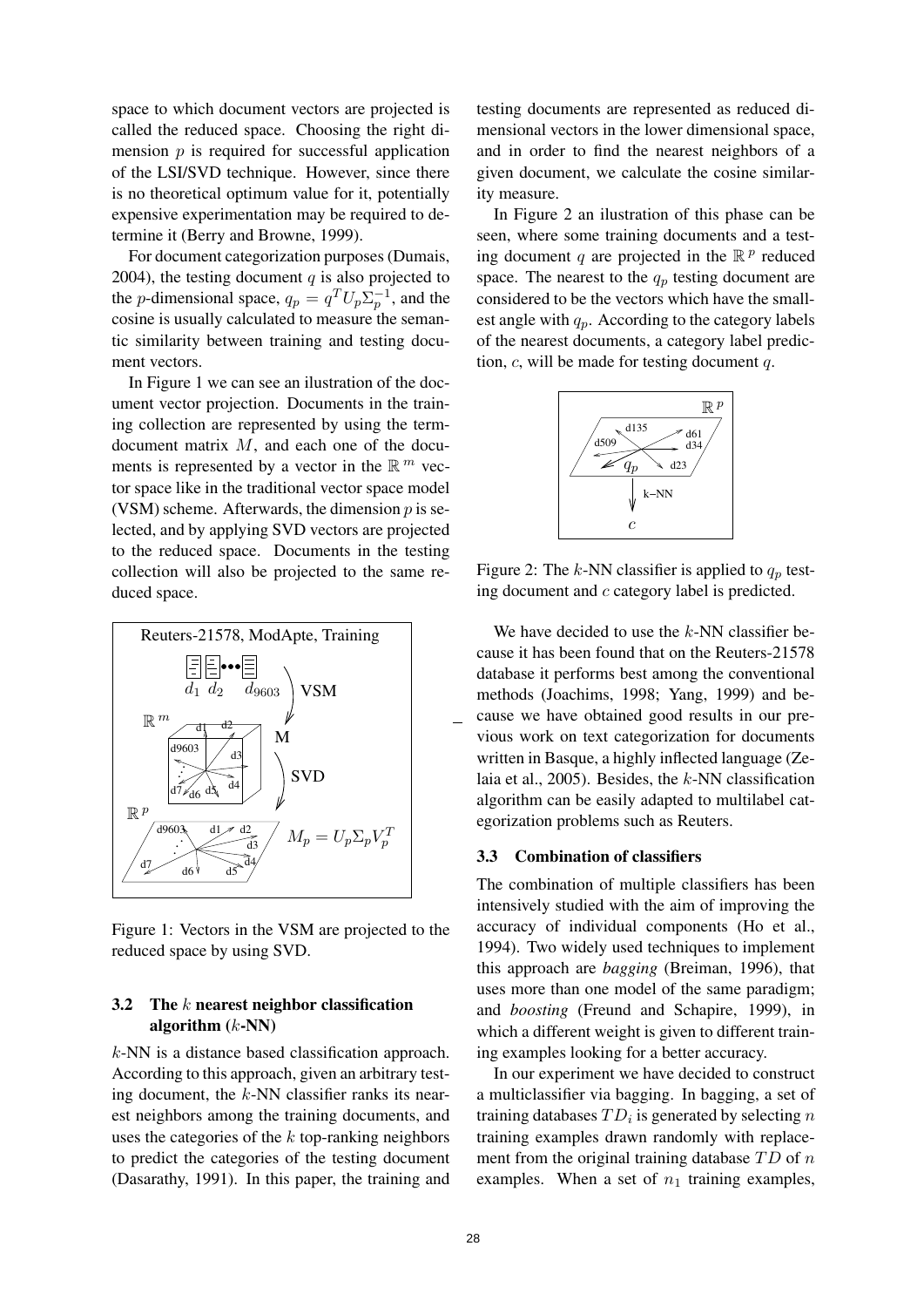space to which document vectors are projected is called the reduced space. Choosing the right dimension  $p$  is required for successful application of the LSI/SVD technique. However, since there is no theoretical optimum value for it, potentially expensive experimentation may be required to determine it (Berry and Browne, 1999).

For document categorization purposes (Dumais, 2004), the testing document  $q$  is also projected to the *p*-dimensional space,  $q_p = q^T U_p \Sigma_p^{-1}$  $_p^{-1}$ , and the cosine is usually calculated to measure the semantic similarity between training and testing document vectors.

In Figure 1 we can see an ilustration of the document vector projection. Documents in the training collection are represented by using the termdocument matrix M, and each one of the documents is represented by a vector in the  $\mathbb{R}^m$  vector space like in the traditional vector space model (VSM) scheme. Afterwards, the dimension  $p$  is selected, and by applying SVD vectors are projected to the reduced space. Documents in the testing collection will also be projected to the same reduced space.



Figure 1: Vectors in the VSM are projected to the reduced space by using SVD.

## 3.2 The  $k$  nearest neighbor classification algorithm  $(k-NN)$

k-NN is a distance based classification approach. According to this approach, given an arbitrary testing document, the  $k$ -NN classifier ranks its nearest neighbors among the training documents, and uses the categories of the  $k$  top-ranking neighbors to predict the categories of the testing document (Dasarathy, 1991). In this paper, the training and

testing documents are represented as reduced dimensional vectors in the lower dimensional space, and in order to find the nearest neighbors of a given document, we calculate the cosine similarity measure.

In Figure 2 an ilustration of this phase can be seen, where some training documents and a testing document q are projected in the  $\mathbb{R}^p$  reduced space. The nearest to the  $q_p$  testing document are considered to be the vectors which have the smallest angle with  $q_p$ . According to the category labels of the nearest documents, a category label prediction,  $c$ , will be made for testing document  $q$ .



Figure 2: The k-NN classifier is applied to  $q_p$  testing document and c category label is predicted.

We have decided to use the  $k$ -NN classifier because it has been found that on the Reuters-21578 database it performs best among the conventional methods (Joachims, 1998; Yang, 1999) and because we have obtained good results in our previous work on text categorization for documents written in Basque, a highly inflected language (Zelaia et al.,  $2005$ ). Besides, the k-NN classification algorithm can be easily adapted to multilabel categorization problems such as Reuters.

#### 3.3 Combination of classifiers

The combination of multiple classifiers has been intensively studied with the aim of improving the accuracy of individual components (Ho et al., 1994). Two widely used techniques to implement this approach are bagging (Breiman, 1996), that uses more than one model of the same paradigm; and boosting (Freund and Schapire, 1999), in which a different weight is given to different training examples looking for a better accuracy.

In our experiment we have decided to construct a multiclassifier via bagging. In bagging, a set of training databases  $TD_i$  is generated by selecting n training examples drawn randomly with replacement from the original training database  $TD$  of n examples. When a set of  $n_1$  training examples,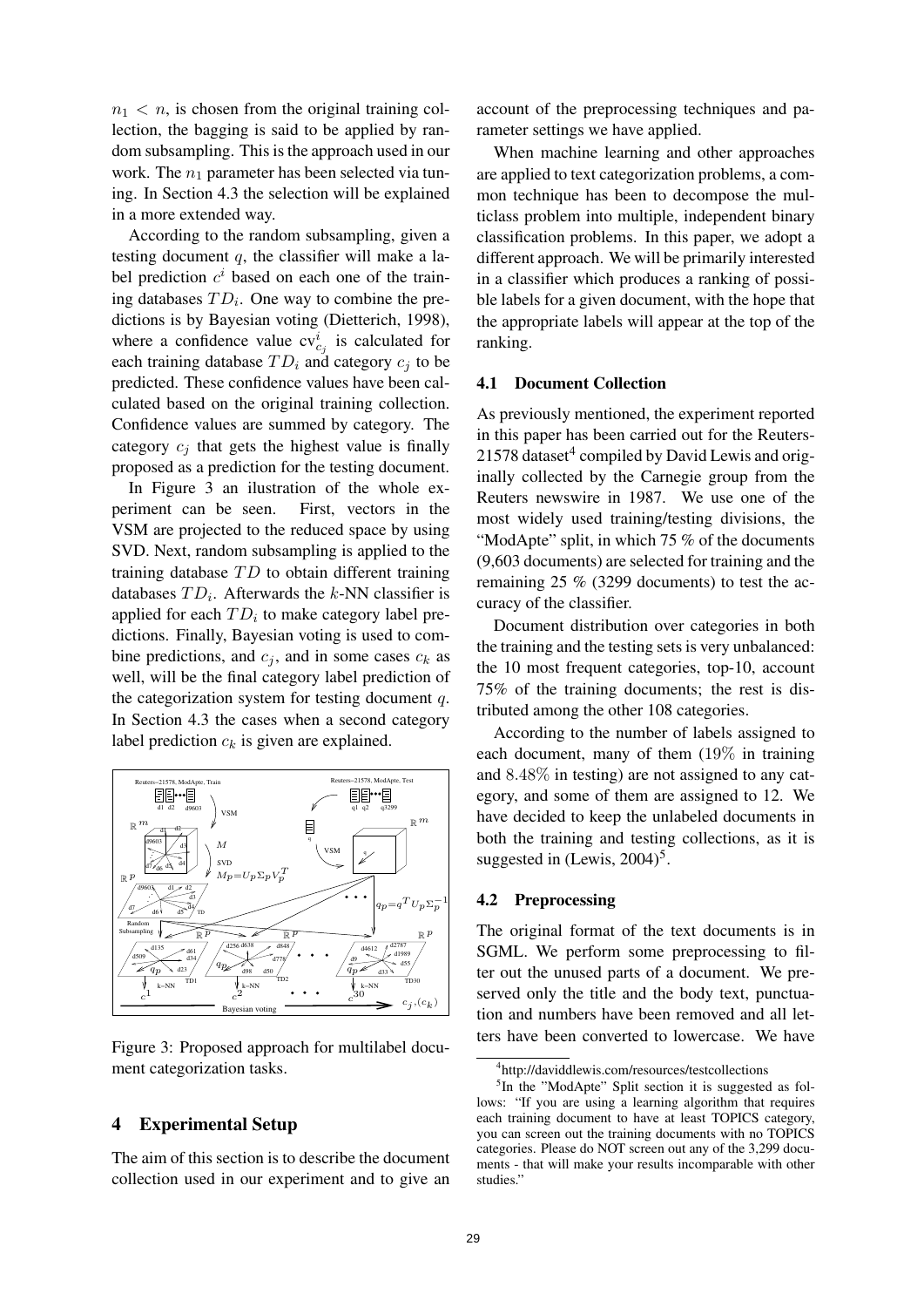$n_1 < n$ , is chosen from the original training collection, the bagging is said to be applied by random subsampling. This is the approach used in our work. The  $n_1$  parameter has been selected via tuning. In Section 4.3 the selection will be explained in a more extended way.

According to the random subsampling, given a testing document  $q$ , the classifier will make a label prediction  $c^i$  based on each one of the training databases  $TD_i$ . One way to combine the predictions is by Bayesian voting (Dietterich, 1998), where a confidence value  $cv_{c_j}^i$  is calculated for each training database  $TD_i$  and category  $c_j$  to be predicted. These confidence values have been calculated based on the original training collection. Confidence values are summed by category. The category  $c_i$  that gets the highest value is finally proposed as a prediction for the testing document.

In Figure 3 an ilustration of the whole experiment can be seen. First, vectors in the VSM are projected to the reduced space by using SVD. Next, random subsampling is applied to the training database  $TD$  to obtain different training databases  $TD_i$ . Afterwards the k-NN classifier is applied for each  $TD_i$  to make category label predictions. Finally, Bayesian voting is used to combine predictions, and  $c_j$ , and in some cases  $c_k$  as well, will be the final category label prediction of the categorization system for testing document  $q$ . In Section 4.3 the cases when a second category label prediction  $c_k$  is given are explained.



Figure 3: Proposed approach for multilabel document categorization tasks.

## 4 Experimental Setup

The aim of this section is to describe the document collection used in our experiment and to give an

account of the preprocessing techniques and parameter settings we have applied.

When machine learning and other approaches are applied to text categorization problems, a common technique has been to decompose the multiclass problem into multiple, independent binary classification problems. In this paper, we adopt a different approach. We will be primarily interested in a classifier which produces a ranking of possible labels for a given document, with the hope that the appropriate labels will appear at the top of the ranking.

#### 4.1 Document Collection

As previously mentioned, the experiment reported in this paper has been carried out for the Reuters-21578 dataset<sup>4</sup> compiled by David Lewis and originally collected by the Carnegie group from the Reuters newswire in 1987. We use one of the most widely used training/testing divisions, the "ModApte" split, in which 75 % of the documents (9,603 documents) are selected for training and the remaining 25 % (3299 documents) to test the accuracy of the classifier.

Document distribution over categories in both the training and the testing sets is very unbalanced: the 10 most frequent categories, top-10, account 75% of the training documents; the rest is distributed among the other 108 categories.

According to the number of labels assigned to each document, many of them (19% in training and 8.48% in testing) are not assigned to any category, and some of them are assigned to 12. We have decided to keep the unlabeled documents in both the training and testing collections, as it is suggested in  $(L$ ewis, 2004)<sup>5</sup>.

#### 4.2 Preprocessing

The original format of the text documents is in SGML. We perform some preprocessing to filter out the unused parts of a document. We preserved only the title and the body text, punctuation and numbers have been removed and all letters have been converted to lowercase. We have

<sup>4</sup> http://daviddlewis.com/resources/testcollections

<sup>&</sup>lt;sup>5</sup>In the "ModApte" Split section it is suggested as follows: "If you are using a learning algorithm that requires each training document to have at least TOPICS category, you can screen out the training documents with no TOPICS categories. Please do NOT screen out any of the 3,299 documents - that will make your results incomparable with other studies."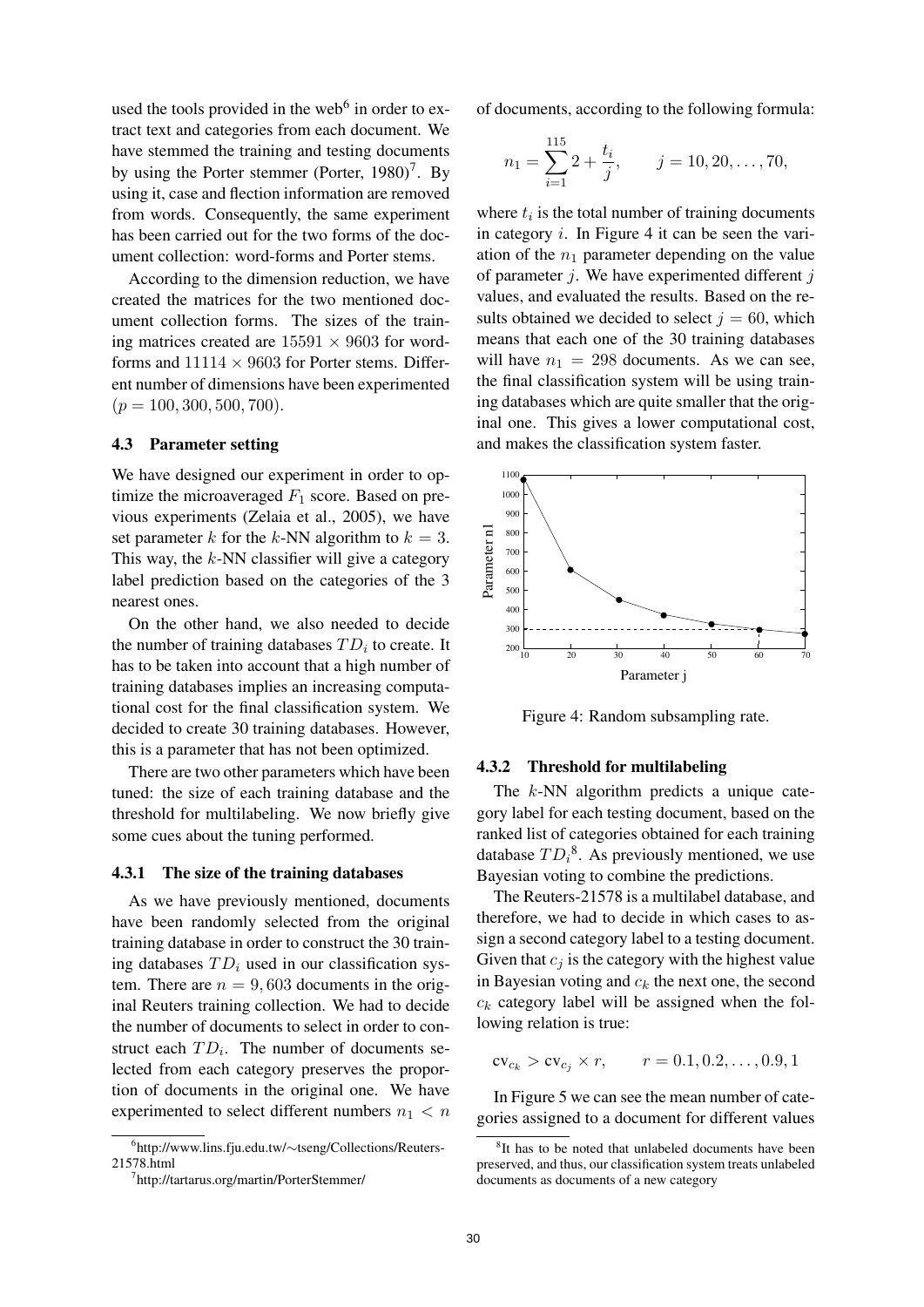used the tools provided in the web<sup>6</sup> in order to extract text and categories from each document. We have stemmed the training and testing documents by using the Porter stemmer (Porter, 1980)<sup>7</sup>. By using it, case and flection information are removed from words. Consequently, the same experiment has been carried out for the two forms of the document collection: word-forms and Porter stems.

According to the dimension reduction, we have created the matrices for the two mentioned document collection forms. The sizes of the training matrices created are  $15591 \times 9603$  for wordforms and  $11114 \times 9603$  for Porter stems. Different number of dimensions have been experimented  $(p = 100, 300, 500, 700).$ 

## 4.3 Parameter setting

We have designed our experiment in order to optimize the microaveraged  $F_1$  score. Based on previous experiments (Zelaia et al., 2005), we have set parameter k for the k-NN algorithm to  $k = 3$ . This way, the  $k$ -NN classifier will give a category label prediction based on the categories of the 3 nearest ones.

On the other hand, we also needed to decide the number of training databases  $TD_i$  to create. It has to be taken into account that a high number of training databases implies an increasing computational cost for the final classification system. We decided to create 30 training databases. However, this is a parameter that has not been optimized.

There are two other parameters which have been tuned: the size of each training database and the threshold for multilabeling. We now briefly give some cues about the tuning performed.

#### 4.3.1 The size of the training databases

As we have previously mentioned, documents have been randomly selected from the original training database in order to construct the 30 training databases  $TD_i$  used in our classification system. There are  $n = 9,603$  documents in the original Reuters training collection. We had to decide the number of documents to select in order to construct each  $TD_i$ . The number of documents selected from each category preserves the proportion of documents in the original one. We have experimented to select different numbers  $n_1 < n$  of documents, according to the following formula:

$$
n_1 = \sum_{i=1}^{115} 2 + \frac{t_i}{j}, \qquad j = 10, 20, \dots, 70,
$$

where  $t_i$  is the total number of training documents in category  $i$ . In Figure 4 it can be seen the variation of the  $n_1$  parameter depending on the value of parameter  $j$ . We have experimented different  $j$ values, and evaluated the results. Based on the results obtained we decided to select  $j = 60$ , which means that each one of the 30 training databases will have  $n_1 = 298$  documents. As we can see, the final classification system will be using training databases which are quite smaller that the original one. This gives a lower computational cost, and makes the classification system faster.



Figure 4: Random subsampling rate.

#### 4.3.2 Threshold for multilabeling

The k-NN algorithm predicts a unique category label for each testing document, based on the ranked list of categories obtained for each training database  $TD_i^8$ . As previously mentioned, we use Bayesian voting to combine the predictions.

The Reuters-21578 is a multilabel database, and therefore, we had to decide in which cases to assign a second category label to a testing document. Given that  $c_i$  is the category with the highest value in Bayesian voting and  $c_k$  the next one, the second  $c_k$  category label will be assigned when the following relation is true:

 $cv_{c_k} > cv_{c_i} \times r$ ,  $r = 0.1, 0.2, ..., 0.9, 1$ 

In Figure 5 we can see the mean number of categories assigned to a document for different values

<sup>6</sup> http://www.lins.fju.edu.tw/∼tseng/Collections/Reuters-21578.html

<sup>7</sup> http://tartarus.org/martin/PorterStemmer/

<sup>&</sup>lt;sup>8</sup>It has to be noted that unlabeled documents have been preserved, and thus, our classification system treats unlabeled documents as documents of a new category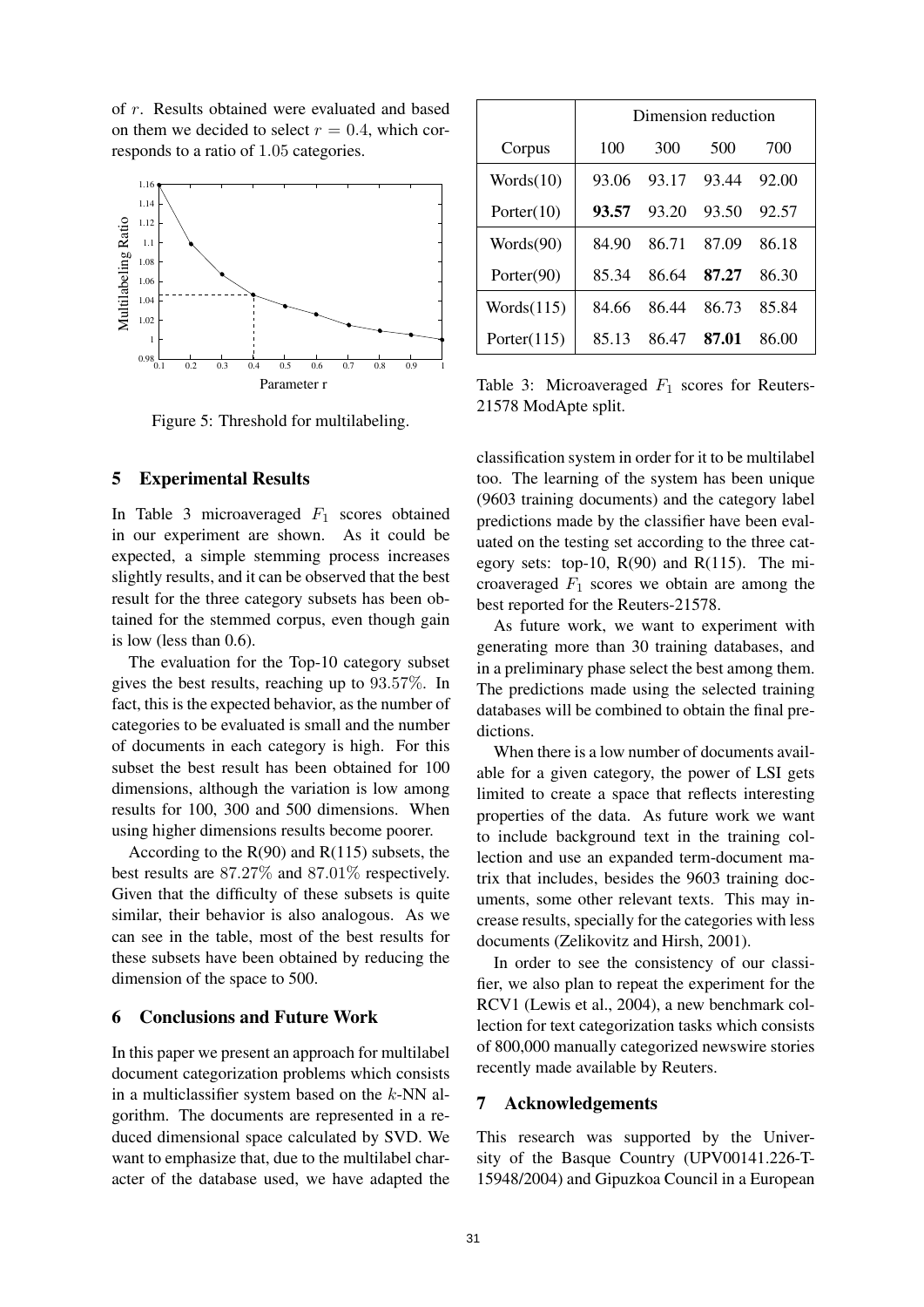of r. Results obtained were evaluated and based on them we decided to select  $r = 0.4$ , which corresponds to a ratio of 1.05 categories.



Figure 5: Threshold for multilabeling.

#### 5 Experimental Results

In Table 3 microaveraged  $F_1$  scores obtained in our experiment are shown. As it could be expected, a simple stemming process increases slightly results, and it can be observed that the best result for the three category subsets has been obtained for the stemmed corpus, even though gain is low (less than 0.6).

The evaluation for the Top-10 category subset gives the best results, reaching up to 93.57%. In fact, this is the expected behavior, as the number of categories to be evaluated is small and the number of documents in each category is high. For this subset the best result has been obtained for 100 dimensions, although the variation is low among results for 100, 300 and 500 dimensions. When using higher dimensions results become poorer.

According to the  $R(90)$  and  $R(115)$  subsets, the best results are 87.27% and 87.01% respectively. Given that the difficulty of these subsets is quite similar, their behavior is also analogous. As we can see in the table, most of the best results for these subsets have been obtained by reducing the dimension of the space to 500.

## 6 Conclusions and Future Work

In this paper we present an approach for multilabel document categorization problems which consists in a multiclassifier system based on the  $k$ -NN algorithm. The documents are represented in a reduced dimensional space calculated by SVD. We want to emphasize that, due to the multilabel character of the database used, we have adapted the

|                | Dimension reduction |       |       |       |
|----------------|---------------------|-------|-------|-------|
| Corpus         | 100                 | 300   | 500   | 700   |
| Words(10)      | 93.06               | 93.17 | 93.44 | 92.00 |
| Porter $(10)$  | 93.57               | 93.20 | 93.50 | 92.57 |
| Words(90)      | 84.90               | 86.71 | 87.09 | 86.18 |
| Porter $(90)$  | 85.34               | 86 64 | 87.27 | 86.30 |
| Words(115)     | 84.66               | 86.44 | 86.73 | 85.84 |
| Porter $(115)$ | 85 13               | 86.47 | 87.01 | 86.00 |

Table 3: Microaveraged  $F_1$  scores for Reuters-21578 ModApte split.

classification system in order for it to be multilabel too. The learning of the system has been unique (9603 training documents) and the category label predictions made by the classifier have been evaluated on the testing set according to the three category sets: top-10,  $R(90)$  and  $R(115)$ . The microaveraged  $F_1$  scores we obtain are among the best reported for the Reuters-21578.

As future work, we want to experiment with generating more than 30 training databases, and in a preliminary phase select the best among them. The predictions made using the selected training databases will be combined to obtain the final predictions.

When there is a low number of documents available for a given category, the power of LSI gets limited to create a space that reflects interesting properties of the data. As future work we want to include background text in the training collection and use an expanded term-document matrix that includes, besides the 9603 training documents, some other relevant texts. This may increase results, specially for the categories with less documents (Zelikovitz and Hirsh, 2001).

In order to see the consistency of our classifier, we also plan to repeat the experiment for the RCV1 (Lewis et al., 2004), a new benchmark collection for text categorization tasks which consists of 800,000 manually categorized newswire stories recently made available by Reuters.

#### 7 Acknowledgements

This research was supported by the University of the Basque Country (UPV00141.226-T-15948/2004) and Gipuzkoa Council in a European